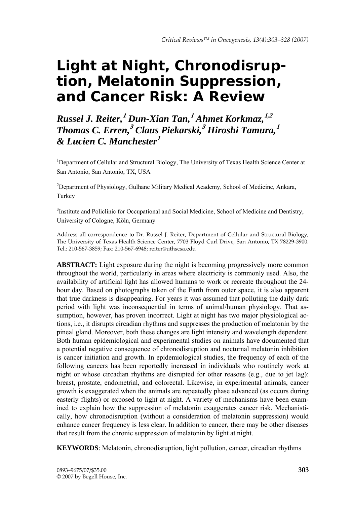# **Light at Night, Chronodisruption, Melatonin Suppression, and Cancer Risk: A Review**

*Russel J. Reiter,***<sup>1</sup>** *Dun-Xian Tan,***<sup>1</sup>** *Ahmet Korkmaz,***1,2** *Thomas C. Erren,***<sup>3</sup>** *Claus Piekarski,***<sup>3</sup>** *Hiroshi Tamura,***<sup>1</sup>** *& Lucien C. Manchester***<sup>1</sup>**

<sup>1</sup>Department of Cellular and Structural Biology, The University of Texas Health Science Center at San Antonio, San Antonio, TX, USA

<sup>2</sup>Department of Physiology, Gulhane Military Medical Academy, School of Medicine, Ankara, Turkey

<sup>3</sup>Institute and Policlinic for Occupational and Social Medicine, School of Medicine and Dentistry, University of Cologne, Köln, Germany

Address all correspondence to Dr. Russel J. Reiter, Department of Cellular and Structural Biology, The University of Texas Health Science Center, 7703 Floyd Curl Drive, San Antonio, TX 78229-3900. Tel.: 210-567-3859; Fax: 210-567-6948; reiter@uthscsa.edu

**ABSTRACT:** Light exposure during the night is becoming progressively more common throughout the world, particularly in areas where electricity is commonly used. Also, the availability of artificial light has allowed humans to work or recreate throughout the 24 hour day. Based on photographs taken of the Earth from outer space, it is also apparent that true darkness is disappearing. For years it was assumed that polluting the daily dark period with light was inconsequential in terms of animal/human physiology. That assumption, however, has proven incorrect. Light at night has two major physiological actions, i.e., it disrupts circadian rhythms and suppresses the production of melatonin by the pineal gland. Moreover, both these changes are light intensity and wavelength dependent. Both human epidemiological and experimental studies on animals have documented that a potential negative consequence of chronodisruption and nocturnal melatonin inhibition is cancer initiation and growth. In epidemiological studies, the frequency of each of the following cancers has been reportedly increased in individuals who routinely work at night or whose circadian rhythms are disrupted for other reasons (e.g., due to jet lag): breast, prostate, endometrial, and colorectal. Likewise, in experimental animals, cancer growth is exaggerated when the animals are repeatedly phase advanced (as occurs during easterly flights) or exposed to light at night. A variety of mechanisms have been examined to explain how the suppression of melatonin exaggerates cancer risk. Mechanistically, how chronodisruption (without a consideration of melatonin suppression) would enhance cancer frequency is less clear. In addition to cancer, there may be other diseases that result from the chronic suppression of melatonin by light at night.

**KEYWORDS**: Melatonin, chronodisruption, light pollution, cancer, circadian rhythms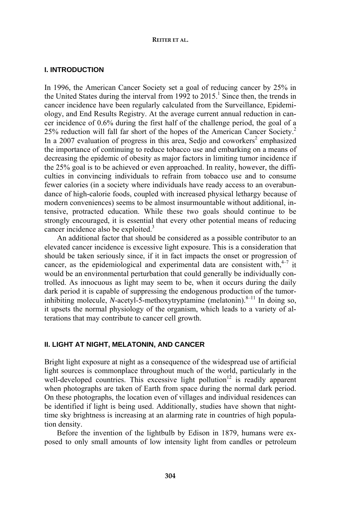# **I. INTRODUCTION**

In 1996, the American Cancer Society set a goal of reducing cancer by 25% in the United States during the interval from  $1992$  to  $2015$ .<sup>1</sup> Since then, the trends in cancer incidence have been regularly calculated from the Surveillance, Epidemiology, and End Results Registry. At the average current annual reduction in cancer incidence of 0.6% during the first half of the challenge period, the goal of a 25% reduction will fall far short of the hopes of the American Cancer Society.2 In a 2007 evaluation of progress in this area, Sedjo and coworkers<sup>2</sup> emphasized the importance of continuing to reduce tobacco use and embarking on a means of decreasing the epidemic of obesity as major factors in limiting tumor incidence if the 25% goal is to be achieved or even approached. In reality, however, the difficulties in convincing individuals to refrain from tobacco use and to consume fewer calories (in a society where individuals have ready access to an overabundance of high-calorie foods, coupled with increased physical lethargy because of modern conveniences) seems to be almost insurmountable without additional, intensive, protracted education. While these two goals should continue to be strongly encouraged, it is essential that every other potential means of reducing cancer incidence also be exploited.<sup>3</sup>

An additional factor that should be considered as a possible contributor to an elevated cancer incidence is excessive light exposure. This is a consideration that should be taken seriously since, if it in fact impacts the onset or progression of cancer, as the epidemiological and experimental data are consistent with,  $4\frac{1}{4}$  it would be an environmental perturbation that could generally be individually controlled. As innocuous as light may seem to be, when it occurs during the daily dark period it is capable of suppressing the endogenous production of the tumorinhibiting molecule, *N*-acetyl-5-methoxytryptamine (melatonin). $8-11$  In doing so, it upsets the normal physiology of the organism, which leads to a variety of alterations that may contribute to cancer cell growth.

# **II. LIGHT AT NIGHT, MELATONIN, AND CANCER**

Bright light exposure at night as a consequence of the widespread use of artificial light sources is commonplace throughout much of the world, particularly in the well-developed countries. This excessive light pollution<sup>12</sup> is readily apparent when photographs are taken of Earth from space during the normal dark period. On these photographs, the location even of villages and individual residences can be identified if light is being used. Additionally, studies have shown that nighttime sky brightness is increasing at an alarming rate in countries of high population density.

Before the invention of the lightbulb by Edison in 1879, humans were exposed to only small amounts of low intensity light from candles or petroleum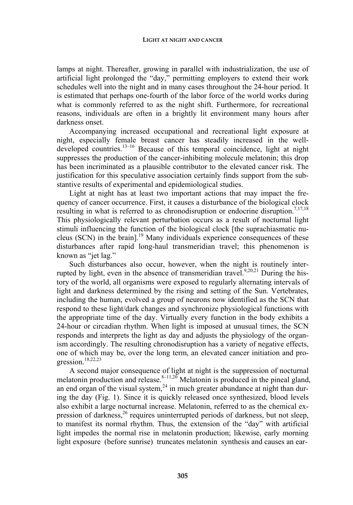lamps at night. Thereafter, growing in parallel with industrialization, the use of artificial light prolonged the "day," permitting employers to extend their work schedules well into the night and in many cases throughout the 24-hour period. It is estimated that perhaps one-fourth of the labor force of the world works during what is commonly referred to as the night shift. Furthermore, for recreational reasons, individuals are often in a brightly lit environment many hours after darkness onset.

Accompanying increased occupational and recreational light exposure at night, especially female breast cancer has steadily increased in the welldeveloped countries.<sup>13–16</sup> Because of this temporal coincidence, light at night suppresses the production of the cancer-inhibiting molecule melatonin; this drop has been incriminated as a plausible contributor to the elevated cancer risk. The justification for this speculative association certainly finds support from the substantive results of experimental and epidemiological studies.

Light at night has at least two important actions that may impact the frequency of cancer occurrence. First, it causes a disturbance of the biological clock resulting in what is referred to as chronodisruption or endocrine disruption.<sup>7,17,18</sup> This physiologically relevant perturbation occurs as a result of nocturnal light stimuli influencing the function of the biological clock [the suprachiasmatic nucleus (SCN) in the brain].19 Many individuals experience consequences of these disturbances after rapid long-haul transmeridian travel; this phenomenon is known as "jet lag."

Such disturbances also occur, however, when the night is routinely interrupted by light, even in the absence of transmeridian travel.<sup>9,20,21</sup> During the history of the world, all organisms were exposed to regularly alternating intervals of light and darkness determined by the rising and setting of the Sun. Vertebrates, including the human, evolved a group of neurons now identified as the SCN that respond to these light/dark changes and synchronize physiological functions with the appropriate time of the day. Virtually every function in the body exhibits a 24-hour or circadian rhythm. When light is imposed at unusual times, the SCN responds and interprets the light as day and adjusts the physiology of the organism accordingly. The resulting chronodisruption has a variety of negative effects, one of which may be, over the long term, an elevated cancer initiation and progression.18,22,23

A second major consequence of light at night is the suppression of nocturnal melatonin production and release.  $8-11,20$  Melatonin is produced in the pineal gland, an end organ of the visual system,  $24$  in much greater abundance at night than during the day (Fig. 1). Since it is quickly released once synthesized, blood levels also exhibit a large nocturnal increase. Melatonin, referred to as the chemical expression of darkness,<sup>26</sup> requires uninterrupted periods of darkness, but not sleep, to manifest its normal rhythm. Thus, the extension of the "day" with artificial light impedes the normal rise in melatonin production; likewise, early morning light exposure (before sunrise) truncates melatonin synthesis and causes an ear-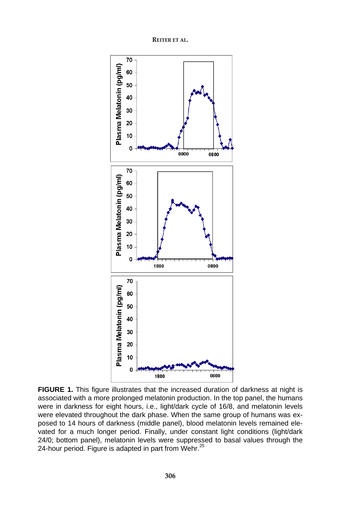**REITER ET AL.** 



**FIGURE 1.** This figure illustrates that the increased duration of darkness at night is associated with a more prolonged melatonin production. In the top panel, the humans were in darkness for eight hours, i.e., light/dark cycle of 16/8, and melatonin levels were elevated throughout the dark phase. When the same group of humans was exposed to 14 hours of darkness (middle panel), blood melatonin levels remained elevated for a much longer period. Finally, under constant light conditions (light/dark 24/0; bottom panel), melatonin levels were suppressed to basal values through the 24-hour period. Figure is adapted in part from Wehr.<sup>25</sup>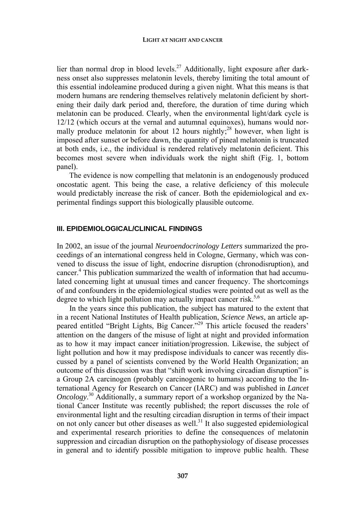lier than normal drop in blood levels.<sup>27</sup> Additionally, light exposure after darkness onset also suppresses melatonin levels, thereby limiting the total amount of this essential indoleamine produced during a given night. What this means is that modern humans are rendering themselves relatively melatonin deficient by shortening their daily dark period and, therefore, the duration of time during which melatonin can be produced. Clearly, when the environmental light/dark cycle is 12/12 (which occurs at the vernal and autumnal equinoxes), humans would normally produce melatonin for about 12 hours nightly;<sup>28</sup> however, when light is imposed after sunset or before dawn, the quantity of pineal melatonin is truncated at both ends, i.e., the individual is rendered relatively melatonin deficient. This becomes most severe when individuals work the night shift (Fig. 1, bottom panel).

The evidence is now compelling that melatonin is an endogenously produced oncostatic agent. This being the case, a relative deficiency of this molecule would predictably increase the risk of cancer. Both the epidemiological and experimental findings support this biologically plausible outcome.

# **III. EPIDEMIOLOGICAL/CLINICAL FINDINGS**

In 2002, an issue of the journal *Neuroendocrinology Letters* summarized the proceedings of an international congress held in Cologne, Germany, which was convened to discuss the issue of light, endocrine disruption (chronodisruption), and cancer.<sup>4</sup> This publication summarized the wealth of information that had accumulated concerning light at unusual times and cancer frequency. The shortcomings of and confounders in the epidemiological studies were pointed out as well as the degree to which light pollution may actually impact cancer risk.<sup>5,6</sup>

In the years since this publication, the subject has matured to the extent that in a recent National Institutes of Health publication, *Science News*, an article appeared entitled "Bright Lights, Big Cancer."29 This article focused the readers' attention on the dangers of the misuse of light at night and provided information as to how it may impact cancer initiation/progression. Likewise, the subject of light pollution and how it may predispose individuals to cancer was recently discussed by a panel of scientists convened by the World Health Organization; an outcome of this discussion was that "shift work involving circadian disruption" is a Group 2A carcinogen (probably carcinogenic to humans) according to the International Agency for Research on Cancer (IARC) and was published in *Lancet Oncology*. 30 Additionally, a summary report of a workshop organized by the National Cancer Institute was recently published; the report discusses the role of environmental light and the resulting circadian disruption in terms of their impact on not only cancer but other diseases as well.<sup>31</sup> It also suggested epidemiological and experimental research priorities to define the consequences of melatonin suppression and circadian disruption on the pathophysiology of disease processes in general and to identify possible mitigation to improve public health. These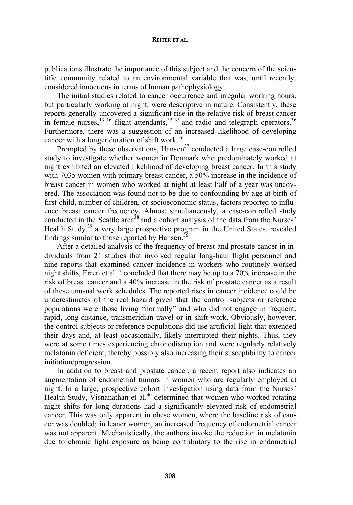publications illustrate the importance of this subject and the concern of the scientific community related to an environmental variable that was, until recently, considered innocuous in terms of human pathophysiology.

The initial studies related to cancer occurrence and irregular working hours, but particularly working at night, were descriptive in nature. Consistently, these reports generally uncovered a significant rise in the relative risk of breast cancer in female nurses,  $13-16$  flight attendants,  $32-35$  and radio and telegraph operators.  $36$ Furthermore, there was a suggestion of an increased likelihood of developing cancer with a longer duration of shift work.<sup>36</sup>

Prompted by these observations,  $Hansen<sup>37</sup>$  conducted a large case-controlled study to investigate whether women in Denmark who predominately worked at night exhibited an elevated likelihood of developing breast cancer. In this study with 7035 women with primary breast cancer, a 50% increase in the incidence of breast cancer in women who worked at night at least half of a year was uncovered. The association was found not to be due to confounding by age at birth of first child, number of children, or socioeconomic status, factors reported to influence breast cancer frequency. Almost simultaneously, a case-controlled study conducted in the Seattle area<sup>38</sup> and a cohort analysis of the data from the Nurses' Health Study,<sup>39</sup> a very large prospective program in the United States, revealed findings similar to those reported by Hansen.<sup>36</sup>

After a detailed analysis of the frequency of breast and prostate cancer in individuals from 21 studies that involved regular long-haul flight personnel and nine reports that examined cancer incidence in workers who routinely worked night shifts, Erren et al.<sup>17</sup> concluded that there may be up to a  $70\%$  increase in the risk of breast cancer and a 40% increase in the risk of prostate cancer as a result of these unusual work schedules. The reported rises in cancer incidence could be underestimates of the real hazard given that the control subjects or reference populations were those living "normally" and who did not engage in frequent, rapid, long-distance, transmeridian travel or in shift work. Obviously, however, the control subjects or reference populations did use artificial light that extended their days and, at least occasionally, likely interrupted their nights. Thus, they were at some times experiencing chronodisruption and were regularly relatively melatonin deficient, thereby possibly also increasing their susceptibility to cancer initiation/progression.

In addition to breast and prostate cancer, a recent report also indicates an augmentation of endometrial tumors in women who are regularly employed at night. In a large, prospective cohort investigation using data from the Nurses' Health Study, Visnanathan et al.<sup>40</sup> determined that women who worked rotating night shifts for long durations had a significantly elevated risk of endometrial cancer. This was only apparent in obese women, where the baseline risk of cancer was doubled; in leaner women, an increased frequency of endometrial cancer was not apparent. Mechanistically, the authors invoke the reduction in melatonin due to chronic light exposure as being contributory to the rise in endometrial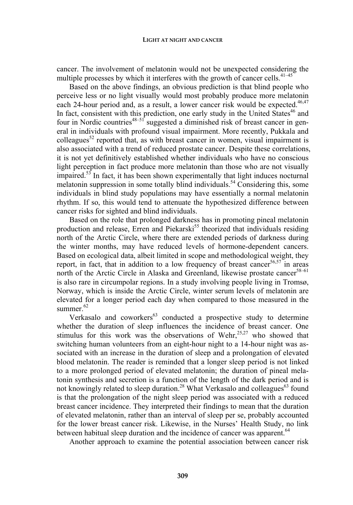cancer. The involvement of melatonin would not be unexpected considering the multiple processes by which it interferes with the growth of cancer cells.<sup>41–45</sup>

Based on the above findings, an obvious prediction is that blind people who perceive less or no light visually would most probably produce more melatonin each 24-hour period and, as a result, a lower cancer risk would be expected. $46,47$ In fact, consistent with this prediction, one early study in the United States<sup>46</sup> and four in Nordic countries<sup>48–51</sup> suggested a diminished risk of breast cancer in general in individuals with profound visual impairment. More recently, Pukkala and colleagues<sup>52</sup> reported that, as with breast cancer in women, visual impairment is also associated with a trend of reduced prostate cancer. Despite these correlations, it is not yet definitively established whether individuals who have no conscious light perception in fact produce more melatonin than those who are not visually impaired.<sup>53</sup> In fact, it has been shown experimentally that light induces nocturnal melatonin suppression in some totally blind individuals.<sup>54</sup> Considering this, some individuals in blind study populations may have essentially a normal melatonin rhythm. If so, this would tend to attenuate the hypothesized difference between cancer risks for sighted and blind individuals.

Based on the role that prolonged darkness has in promoting pineal melatonin production and release, Erren and Piekarski<sup>55</sup> theorized that individuals residing north of the Arctic Circle, where there are extended periods of darkness during the winter months, may have reduced levels of hormone-dependent cancers. Based on ecological data, albeit limited in scope and methodological weight, they report, in fact, that in addition to a low frequency of breast cancer<sup>56,57</sup> in areas north of the Arctic Circle in Alaska and Greenland, likewise prostate cancer<sup>58-61</sup> is also rare in circumpolar regions. In a study involving people living in Tromsø, Norway, which is inside the Arctic Circle, winter serum levels of melatonin are elevated for a longer period each day when compared to those measured in the summer. $62$ 

Verkasalo and coworkers<sup>63</sup> conducted a prospective study to determine whether the duration of sleep influences the incidence of breast cancer. One stimulus for this work was the observations of Wehr, $25,27$  who showed that switching human volunteers from an eight-hour night to a 14-hour night was associated with an increase in the duration of sleep and a prolongation of elevated blood melatonin. The reader is reminded that a longer sleep period is not linked to a more prolonged period of elevated melatonin; the duration of pineal melatonin synthesis and secretion is a function of the length of the dark period and is not knowingly related to sleep duration.<sup>28</sup> What Verkasalo and colleagues<sup>63</sup> found is that the prolongation of the night sleep period was associated with a reduced breast cancer incidence. They interpreted their findings to mean that the duration of elevated melatonin, rather than an interval of sleep per se, probably accounted for the lower breast cancer risk. Likewise, in the Nurses' Health Study, no link between habitual sleep duration and the incidence of cancer was apparent.<sup>64</sup>

Another approach to examine the potential association between cancer risk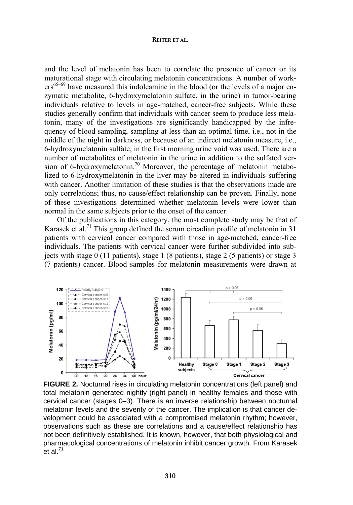and the level of melatonin has been to correlate the presence of cancer or its maturational stage with circulating melatonin concentrations. A number of work $ers^{65-69}$  have measured this indoleamine in the blood (or the levels of a major enzymatic metabolite, 6-hydroxymelatonin sulfate, in the urine) in tumor-bearing individuals relative to levels in age-matched, cancer-free subjects. While these studies generally confirm that individuals with cancer seem to produce less melatonin, many of the investigations are significantly handicapped by the infrequency of blood sampling, sampling at less than an optimal time, i.e., not in the middle of the night in darkness, or because of an indirect melatonin measure, i.e., 6-hydroxymelatonin sulfate, in the first morning urine void was used. There are a number of metabolites of melatonin in the urine in addition to the sulfated version of 6-hydroxymelatonin.<sup>70</sup> Moreover, the percentage of melatonin metabolized to 6-hydroxymelatonin in the liver may be altered in individuals suffering with cancer. Another limitation of these studies is that the observations made are only correlations; thus, no cause/effect relationship can be proven. Finally, none of these investigations determined whether melatonin levels were lower than normal in the same subjects prior to the onset of the cancer.

Of the publications in this category, the most complete study may be that of Karasek et al.<sup>71</sup> This group defined the serum circadian profile of melatonin in 31 patients with cervical cancer compared with those in age-matched, cancer-free individuals. The patients with cervical cancer were further subdivided into subjects with stage 0 (11 patients), stage 1 (8 patients), stage 2 (5 patients) or stage 3 (7 patients) cancer. Blood samples for melatonin measurements were drawn at



**FIGURE 2.** Nocturnal rises in circulating melatonin concentrations (left panel) and total melatonin generated nightly (right panel) in healthy females and those with cervical cancer (stages 0–3). There is an inverse relationship between nocturnal melatonin levels and the severity of the cancer. The implication is that cancer development could be associated with a compromised melatonin rhythm; however, observations such as these are correlations and a cause/effect relationship has not been definitively established. It is known, however, that both physiological and pharmacological concentrations of melatonin inhibit cancer growth. From Karasek et al. $^{71}$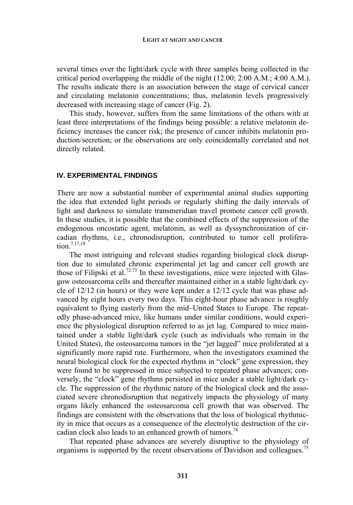several times over the light/dark cycle with three samples being collected in the critical period overlapping the middle of the night (12.00; 2:00 A.M.; 4:00 A.M.). The results indicate there is an association between the stage of cervical cancer and circulating melatonin concentrations; thus, melatonin levels progressively decreased with increasing stage of cancer (Fig. 2).

This study, however, suffers from the same limitations of the others with at least three interpretations of the findings being possible: a relative melatonin deficiency increases the cancer risk; the presence of cancer inhibits melatonin production/secretion; or the observations are only coincidentally correlated and not directly related.

# **IV. EXPERIMENTAL FINDINGS**

There are now a substantial number of experimental animal studies supporting the idea that extended light periods or regularly shifting the daily intervals of light and darkness to simulate transmeridian travel promote cancer cell growth. In these studies, it is possible that the combined effects of the suppression of the endogenous oncostatic agent, melatonin, as well as dyssynchronization of circadian rhythms, i.e., chronodisruption, contributed to tumor cell proliferation.7,17,18

The most intriguing and relevant studies regarding biological clock disruption due to simulated chronic experimental jet lag and cancer cell growth are those of Filipski et al.<sup>72,73</sup> In these investigations, mice were injected with Glasgow osteosarcoma cells and thereafter maintained either in a stable light/dark cycle of 12/12 (in hours) or they were kept under a 12/12 cycle that was phase advanced by eight hours every two days. This eight-hour phase advance is roughly equivalent to flying easterly from the mid–United States to Europe. The repeatedly phase-advanced mice, like humans under similar conditions, would experience the physiological disruption referred to as jet lag. Compared to mice maintained under a stable light/dark cycle (such as individuals who remain in the United States), the osteosarcoma tumors in the "jet lagged" mice proliferated at a significantly more rapid rate. Furthermore, when the investigators examined the neural biological clock for the expected rhythms in "clock" gene expression, they were found to be suppressed in mice subjected to repeated phase advances; conversely, the "clock" gene rhythms persisted in mice under a stable light/dark cycle. The suppression of the rhythmic nature of the biological clock and the associated severe chronodisruption that negatively impacts the physiology of many organs likely enhanced the osteosarcoma cell growth that was observed. The findings are consistent with the observations that the loss of biological rhythmicity in mice that occurs as a consequence of the electrolytic destruction of the circadian clock also leads to an enhanced growth of tumors.<sup>74</sup>

That repeated phase advances are severely disruptive to the physiology of organisms is supported by the recent observations of Davidson and colleagues.<sup>75</sup>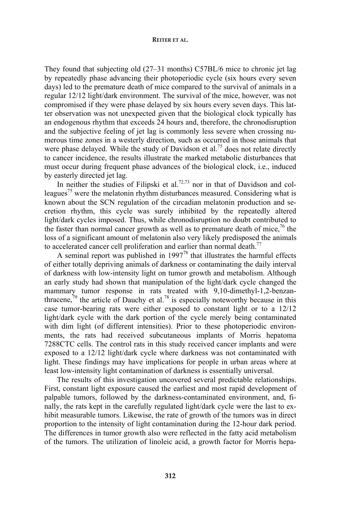They found that subjecting old (27–31 months) C57BL/6 mice to chronic jet lag by repeatedly phase advancing their photoperiodic cycle (six hours every seven days) led to the premature death of mice compared to the survival of animals in a regular 12/12 light/dark environment. The survival of the mice, however, was not compromised if they were phase delayed by six hours every seven days. This latter observation was not unexpected given that the biological clock typically has an endogenous rhythm that exceeds 24 hours and, therefore, the chronodisruption and the subjective feeling of jet lag is commonly less severe when crossing numerous time zones in a westerly direction, such as occurred in those animals that were phase delayed. While the study of Davidson et al.<sup>75</sup> does not relate directly to cancer incidence, the results illustrate the marked metabolic disturbances that must occur during frequent phase advances of the biological clock, i.e., induced by easterly directed jet lag.

In neither the studies of Filipski et al.<sup>72,73</sup> nor in that of Davidson and colleagues<sup>75</sup> were the melatonin rhythm disturbances measured. Considering what is known about the SCN regulation of the circadian melatonin production and secretion rhythm, this cycle was surely inhibited by the repeatedly altered light/dark cycles imposed. Thus, while chronodisruption no doubt contributed to the faster than normal cancer growth as well as to premature death of mice,  $\frac{7}{6}$  the loss of a significant amount of melatonin also very likely predisposed the animals to accelerated cancer cell proliferation and earlier than normal death.<sup>77</sup>

A seminal report was published in  $1997^{78}$  that illustrates the harmful effects of either totally depriving animals of darkness or contaminating the daily interval of darkness with low-intensity light on tumor growth and metabolism. Although an early study had shown that manipulation of the light/dark cycle changed the mammary tumor response in rats treated with 9,10-dimethyl-1,2-benzanthracene, $79$  the article of Dauchy et al.<sup>78</sup> is especially noteworthy because in this case tumor-bearing rats were either exposed to constant light or to a 12/12 light/dark cycle with the dark portion of the cycle merely being contaminated with dim light (of different intensities). Prior to these photoperiodic environments, the rats had received subcutaneous implants of Morris hepatoma 7288CTC cells. The control rats in this study received cancer implants and were exposed to a 12/12 light/dark cycle where darkness was not contaminated with light. These findings may have implications for people in urban areas where at least low-intensity light contamination of darkness is essentially universal.

The results of this investigation uncovered several predictable relationships. First, constant light exposure caused the earliest and most rapid development of palpable tumors, followed by the darkness-contaminated environment, and, finally, the rats kept in the carefully regulated light/dark cycle were the last to exhibit measurable tumors. Likewise, the rate of growth of the tumors was in direct proportion to the intensity of light contamination during the 12-hour dark period. The differences in tumor growth also were reflected in the fatty acid metabolism of the tumors. The utilization of linoleic acid, a growth factor for Morris hepa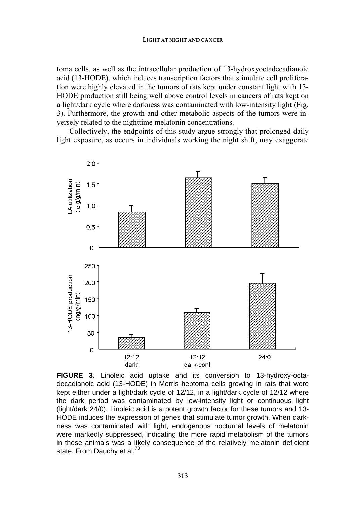toma cells, as well as the intracellular production of 13-hydroxyoctadecadianoic acid (13-HODE), which induces transcription factors that stimulate cell proliferation were highly elevated in the tumors of rats kept under constant light with 13- HODE production still being well above control levels in cancers of rats kept on a light/dark cycle where darkness was contaminated with low-intensity light (Fig. 3). Furthermore, the growth and other metabolic aspects of the tumors were inversely related to the nighttime melatonin concentrations.

Collectively, the endpoints of this study argue strongly that prolonged daily light exposure, as occurs in individuals working the night shift, may exaggerate



**FIGURE 3.** Linoleic acid uptake and its conversion to 13-hydroxy-octadecadianoic acid (13-HODE) in Morris heptoma cells growing in rats that were kept either under a light/dark cycle of 12/12, in a light/dark cycle of 12/12 where the dark period was contaminated by low-intensity light or continuous light (light/dark 24/0). Linoleic acid is a potent growth factor for these tumors and 13- HODE induces the expression of genes that stimulate tumor growth. When darkness was contaminated with light, endogenous nocturnal levels of melatonin were markedly suppressed, indicating the more rapid metabolism of the tumors in these animals was a likely consequence of the relatively melatonin deficient state. From Dauchy et al.<sup>78</sup>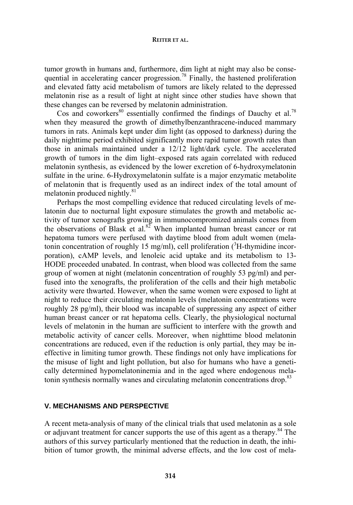tumor growth in humans and, furthermore, dim light at night may also be consequential in accelerating cancer progression.<sup>78</sup> Finally, the hastened proliferation and elevated fatty acid metabolism of tumors are likely related to the depressed melatonin rise as a result of light at night since other studies have shown that these changes can be reversed by melatonin administration.

Cos and coworkers<sup>80</sup> essentially confirmed the findings of Dauchy et al.<sup>78</sup> when they measured the growth of dimethylbenzanthracene-induced mammary tumors in rats. Animals kept under dim light (as opposed to darkness) during the daily nighttime period exhibited significantly more rapid tumor growth rates than those in animals maintained under a 12/12 light/dark cycle. The accelerated growth of tumors in the dim light–exposed rats again correlated with reduced melatonin synthesis, as evidenced by the lower excretion of 6-hydroxymelatonin sulfate in the urine. 6-Hydroxymelatonin sulfate is a major enzymatic metabolite of melatonin that is frequently used as an indirect index of the total amount of melatonin produced nightly. $81$ 

Perhaps the most compelling evidence that reduced circulating levels of melatonin due to nocturnal light exposure stimulates the growth and metabolic activity of tumor xenografts growing in immunocompromized animals comes from the observations of Blask et al.<sup>82</sup> When implanted human breast cancer or rat hepatoma tumors were perfused with daytime blood from adult women (melatonin concentration of roughly 15 mg/ml), cell proliferation  $(^{3}H$ -thymidine incorporation), cAMP levels, and lenoleic acid uptake and its metabolism to 13- HODE proceeded unabated. In contrast, when blood was collected from the same group of women at night (melatonin concentration of roughly 53 pg/ml) and perfused into the xenografts, the proliferation of the cells and their high metabolic activity were thwarted. However, when the same women were exposed to light at night to reduce their circulating melatonin levels (melatonin concentrations were roughly 28 pg/ml), their blood was incapable of suppressing any aspect of either human breast cancer or rat hepatoma cells. Clearly, the physiological nocturnal levels of melatonin in the human are sufficient to interfere with the growth and metabolic activity of cancer cells. Moreover, when nighttime blood melatonin concentrations are reduced, even if the reduction is only partial, they may be ineffective in limiting tumor growth. These findings not only have implications for the misuse of light and light pollution, but also for humans who have a genetically determined hypomelatoninemia and in the aged where endogenous melatonin synthesis normally wanes and circulating melatonin concentrations drop.<sup>83</sup>

# **V. MECHANISMS AND PERSPECTIVE**

A recent meta-analysis of many of the clinical trials that used melatonin as a sole or adjuvant treatment for cancer supports the use of this agent as a therapy.<sup>84</sup> The authors of this survey particularly mentioned that the reduction in death, the inhibition of tumor growth, the minimal adverse effects, and the low cost of mela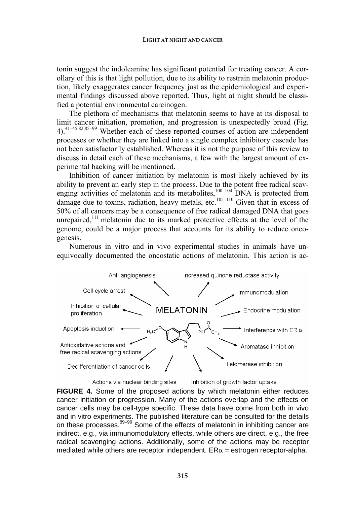tonin suggest the indoleamine has significant potential for treating cancer. A corollary of this is that light pollution, due to its ability to restrain melatonin production, likely exaggerates cancer frequency just as the epidemiological and experimental findings discussed above reported. Thus, light at night should be classified a potential environmental carcinogen.

The plethora of mechanisms that melatonin seems to have at its disposal to limit cancer initiation, promotion, and progression is unexpectedly broad (Fig. 4).41–45,82,85–99 Whether each of these reported courses of action are independent processes or whether they are linked into a single complex inhibitory cascade has not been satisfactorily established. Whereas it is not the purpose of this review to discuss in detail each of these mechanisms, a few with the largest amount of experimental backing will be mentioned.

Inhibition of cancer initiation by melatonin is most likely achieved by its ability to prevent an early step in the process. Due to the potent free radical scavenging activities of melatonin and its metabolites,<sup>100–104</sup> DNA is protected from damage due to toxins, radiation, heavy metals, etc.<sup>105–110</sup> Given that in excess of 50% of all cancers may be a consequence of free radical damaged DNA that goes unrepaired, $111$  melatonin due to its marked protective effects at the level of the genome, could be a major process that accounts for its ability to reduce oncogenesis.

Numerous in vitro and in vivo experimental studies in animals have unequivocally documented the oncostatic actions of melatonin. This action is ac-



**FIGURE 4.** Some of the proposed actions by which melatonin either reduces cancer initiation or progression. Many of the actions overlap and the effects on cancer cells may be cell-type specific. These data have come from both in vivo and in vitro experiments. The published literature can be consulted for the details on these processes. $89-99$  Some of the effects of melatonin in inhibiting cancer are indirect, e.g., via immunomodulatory effects, while others are direct, e.g., the free radical scavenging actions. Additionally, some of the actions may be receptor mediated while others are receptor independent.  $ER\alpha$  = estrogen receptor-alpha.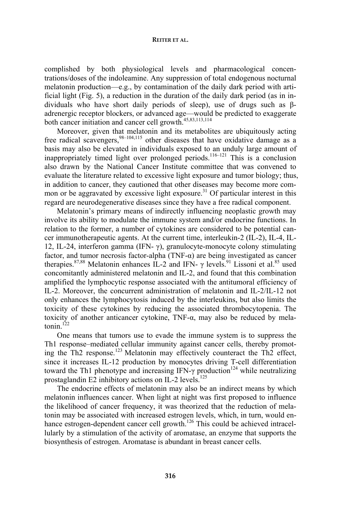complished by both physiological levels and pharmacological concentrations/doses of the indoleamine. Any suppression of total endogenous nocturnal melatonin production—e.g., by contamination of the daily dark period with artificial light (Fig. 5), a reduction in the duration of the daily dark period (as in individuals who have short daily periods of sleep), use of drugs such as βadrenergic receptor blockers, or advanced age—would be predicted to exaggerate both cancer initiation and cancer cell growth.45,83,113,114

Moreover, given that melatonin and its metabolites are ubiquitously acting free radical scavengers,  $98-104,115$  other diseases that have oxidative damage as a basis may also be elevated in individuals exposed to an unduly large amount of inappropriately timed light over prolonged periods.<sup>116–121</sup> This is a conclusion also drawn by the National Cancer Institute committee that was convened to evaluate the literature related to excessive light exposure and tumor biology; thus, in addition to cancer, they cautioned that other diseases may become more common or be aggravated by excessive light exposure.<sup>31</sup> Of particular interest in this regard are neurodegenerative diseases since they have a free radical component.

Melatonin's primary means of indirectly influencing neoplastic growth may involve its ability to modulate the immune system and/or endocrine functions. In relation to the former, a number of cytokines are considered to be potential cancer immunotherapeutic agents. At the current time, interleukin-2 (IL-2), IL-4, IL-12, IL-24, interferon gamma (IFN- $\gamma$ ), granulocyte-monocyte colony stimulating factor, and tumor necrosis factor-alpha (TNF- $\alpha$ ) are being investigated as cancer therapies.<sup>87,88</sup> Melatonin enhances IL-2 and IFN-  $\gamma$  levels.<sup>91</sup> Lissoni et al.<sup>85</sup> used concomitantly administered melatonin and IL-2, and found that this combination amplified the lymphocytic response associated with the antitumoral efficiency of IL-2. Moreover, the concurrent administration of melatonin and IL-2/IL-12 not only enhances the lymphocytosis induced by the interleukins, but also limits the toxicity of these cytokines by reducing the associated thrombocytopenia. The toxicity of another anticancer cytokine, TNF-α, may also be reduced by melatonin $122$ 

One means that tumors use to evade the immune system is to suppress the Th1 response–mediated cellular immunity against cancer cells, thereby promoting the Th2 response.<sup>123</sup> Melatonin may effectively counteract the Th2 effect, since it increases IL-12 production by monocytes driving T-cell differentiation toward the Th1 phenotype and increasing IFN- $\gamma$  production<sup>124</sup> while neutralizing prostaglandin E2 inhibitory actions on IL-2 levels.<sup>125</sup>

The endocrine effects of melatonin may also be an indirect means by which melatonin influences cancer. When light at night was first proposed to influence the likelihood of cancer frequency, it was theorized that the reduction of melatonin may be associated with increased estrogen levels, which, in turn, would enhance estrogen-dependent cancer cell growth.<sup>126</sup> This could be achieved intracellularly by a stimulation of the activity of aromatase, an enzyme that supports the biosynthesis of estrogen. Aromatase is abundant in breast cancer cells.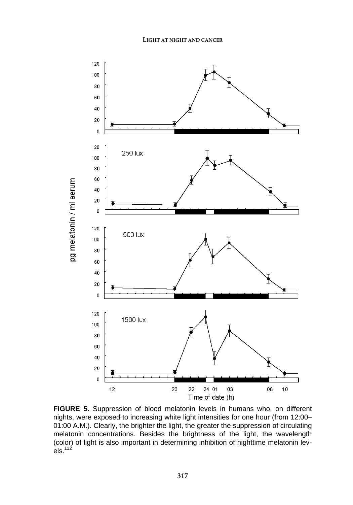

**FIGURE 5.** Suppression of blood melatonin levels in humans who, on different nights, were exposed to increasing white light intensities for one hour (from 12:00– 01:00 A.M.). Clearly, the brighter the light, the greater the suppression of circulating melatonin concentrations. Besides the brightness of the light, the wavelength (color) of light is also important in determining inhibition of nighttime melatonin levels. $^{112}$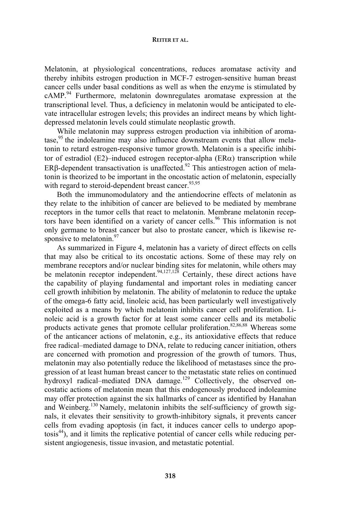Melatonin, at physiological concentrations, reduces aromatase activity and thereby inhibits estrogen production in MCF-7 estrogen-sensitive human breast cancer cells under basal conditions as well as when the enzyme is stimulated by cAMP.<sup>94</sup> Furthermore, melatonin downregulates aromatase expression at the transcriptional level. Thus, a deficiency in melatonin would be anticipated to elevate intracellular estrogen levels; this provides an indirect means by which lightdepressed melatonin levels could stimulate neoplastic growth.

While melatonin may suppress estrogen production via inhibition of aromatase,<sup>95</sup> the indoleamine may also influence downstream events that allow melatonin to retard estrogen-responsive tumor growth. Melatonin is a specific inhibitor of estradiol (E2)–induced estrogen receptor-alpha (ER $\alpha$ ) transcription while ERβ-dependent transactivation is unaffected.<sup>92</sup> This antiestrogen action of melatonin is theorized to be important in the oncostatic action of melatonin, especially with regard to steroid-dependent breast cancer.<sup>93,95</sup>

Both the immunomodulatory and the antiendocrine effects of melatonin as they relate to the inhibition of cancer are believed to be mediated by membrane receptors in the tumor cells that react to melatonin. Membrane melatonin receptors have been identified on a variety of cancer cells.<sup>96</sup> This information is not only germane to breast cancer but also to prostate cancer, which is likewise responsive to melatonin. $97$ 

As summarized in Figure 4, melatonin has a variety of direct effects on cells that may also be critical to its oncostatic actions. Some of these may rely on membrane receptors and/or nuclear binding sites for melatonin, while others may be melatonin receptor independent.<sup>94,127,128</sup> Certainly, these direct actions have the capability of playing fundamental and important roles in mediating cancer cell growth inhibition by melatonin. The ability of melatonin to reduce the uptake of the omega-6 fatty acid, linoleic acid, has been particularly well investigatively exploited as a means by which melatonin inhibits cancer cell proliferation. Linoleic acid is a growth factor for at least some cancer cells and its metabolic products activate genes that promote cellular proliferation.<sup>82,86,88</sup> Whereas some of the anticancer actions of melatonin, e.g., its antioxidative effects that reduce free radical–mediated damage to DNA, relate to reducing cancer initiation, others are concerned with promotion and progression of the growth of tumors. Thus, melatonin may also potentially reduce the likelihood of metastases since the progression of at least human breast cancer to the metastatic state relies on continued hydroxyl radical–mediated DNA damage.<sup>129</sup> Collectively, the observed oncostatic actions of melatonin mean that this endogenously produced indoleamine may offer protection against the six hallmarks of cancer as identified by Hanahan and Weinberg.<sup>130</sup> Namely, melatonin inhibits the self-sufficiency of growth signals, it elevates their sensitivity to growth-inhibitory signals, it prevents cancer cells from evading apoptosis (in fact, it induces cancer cells to undergo apop $t$ osis<sup>44</sup>), and it limits the replicative potential of cancer cells while reducing persistent angiogenesis, tissue invasion, and metastatic potential.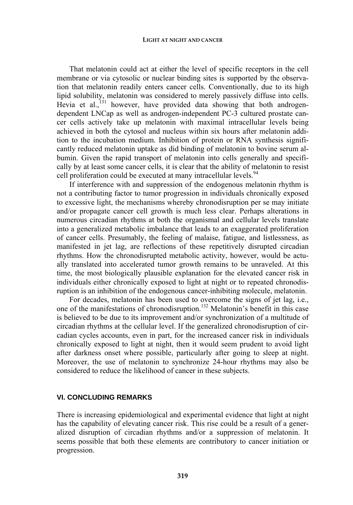That melatonin could act at either the level of specific receptors in the cell membrane or via cytosolic or nuclear binding sites is supported by the observation that melatonin readily enters cancer cells. Conventionally, due to its high lipid solubility, melatonin was considered to merely passively diffuse into cells. Hevia et al.,<sup>131</sup> however, have provided data showing that both androgendependent LNCap as well as androgen-independent PC-3 cultured prostate cancer cells actively take up melatonin with maximal intracellular levels being achieved in both the cytosol and nucleus within six hours after melatonin addition to the incubation medium. Inhibition of protein or RNA synthesis significantly reduced melatonin uptake as did binding of melatonin to bovine serum albumin. Given the rapid transport of melatonin into cells generally and specifically by at least some cancer cells, it is clear that the ability of melatonin to resist cell proliferation could be executed at many intracellular levels.<sup>94</sup>

If interference with and suppression of the endogenous melatonin rhythm is not a contributing factor to tumor progression in individuals chronically exposed to excessive light, the mechanisms whereby chronodisruption per se may initiate and/or propagate cancer cell growth is much less clear. Perhaps alterations in numerous circadian rhythms at both the organismal and cellular levels translate into a generalized metabolic imbalance that leads to an exaggerated proliferation of cancer cells. Presumably, the feeling of malaise, fatigue, and listlessness, as manifested in jet lag, are reflections of these repetitively disrupted circadian rhythms. How the chronodisrupted metabolic activity, however, would be actually translated into accelerated tumor growth remains to be unraveled. At this time, the most biologically plausible explanation for the elevated cancer risk in individuals either chronically exposed to light at night or to repeated chronodisruption is an inhibition of the endogenous cancer-inhibiting molecule, melatonin.

For decades, melatonin has been used to overcome the signs of jet lag, i.e., one of the manifestations of chronodisruption.132 Melatonin's benefit in this case is believed to be due to its improvement and/or synchronization of a multitude of circadian rhythms at the cellular level. If the generalized chronodisruption of circadian cycles accounts, even in part, for the increased cancer risk in individuals chronically exposed to light at night, then it would seem prudent to avoid light after darkness onset where possible, particularly after going to sleep at night. Moreover, the use of melatonin to synchronize 24-hour rhythms may also be considered to reduce the likelihood of cancer in these subjects.

# **VI. CONCLUDING REMARKS**

There is increasing epidemiological and experimental evidence that light at night has the capability of elevating cancer risk. This rise could be a result of a generalized disruption of circadian rhythms and/or a suppression of melatonin. It seems possible that both these elements are contributory to cancer initiation or progression.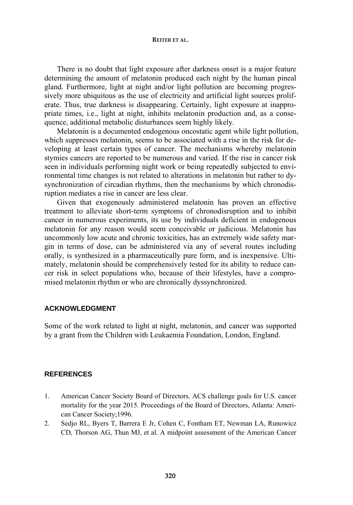There is no doubt that light exposure after darkness onset is a major feature determining the amount of melatonin produced each night by the human pineal gland. Furthermore, light at night and/or light pollution are becoming progressively more ubiquitous as the use of electricity and artificial light sources proliferate. Thus, true darkness is disappearing. Certainly, light exposure at inappropriate times, i.e., light at night, inhibits melatonin production and, as a consequence, additional metabolic disturbances seem highly likely.

Melatonin is a documented endogenous oncostatic agent while light pollution, which suppresses melatonin, seems to be associated with a rise in the risk for developing at least certain types of cancer. The mechanisms whereby melatonin stymies cancers are reported to be numerous and varied. If the rise in cancer risk seen in individuals performing night work or being repeatedly subjected to environmental time changes is not related to alterations in melatonin but rather to dysynchronization of circadian rhythms, then the mechanisms by which chronodisruption mediates a rise in cancer are less clear.

Given that exogenously administered melatonin has proven an effective treatment to alleviate short-term symptoms of chronodisruption and to inhibit cancer in numerous experiments, its use by individuals deficient in endogenous melatonin for any reason would seem conceivable or judicious. Melatonin has uncommonly low acute and chronic toxicities, has an extremely wide safety margin in terms of dose, can be administered via any of several routes including orally, is synthesized in a pharmaceutically pure form, and is inexpensive. Ultimately, melatonin should be comprehensively tested for its ability to reduce cancer risk in select populations who, because of their lifestyles, have a compromised melatonin rhythm or who are chronically dyssynchronized.

## **ACKNOWLEDGMENT**

Some of the work related to light at night, melatonin, and cancer was supported by a grant from the Children with Leukaemia Foundation, London, England.

# **REFERENCES**

- 1. American Cancer Society Board of Directors. ACS challenge goals for U.S. cancer mortality for the year 2015. Proceedings of the Board of Directors, Atlanta: American Cancer Society;1996.
- 2. Sedjo RL, Byers T, Barrera E Jr, Cohen C, Fontham ET, Newman LA, Runowicz CD, Thorson AG, Thun MJ, et al. A midpoint assessment of the American Cancer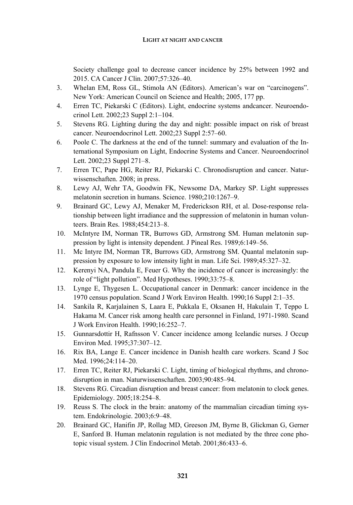## **LIGHT AT NIGHT AND CANCER**

Society challenge goal to decrease cancer incidence by 25% between 1992 and 2015. CA Cancer J Clin. 2007;57:326–40.

- 3. Whelan EM, Ross GL, Stimola AN (Editors). American's war on "carcinogens". New York: American Council on Science and Health; 2005, 177 pp.
- 4. Erren TC, Piekarski C (Editors). Light, endocrine systems andcancer. Neuroendocrinol Lett. 2002;23 Suppl 2:1–104.
- 5. Stevens RG. Lighting during the day and night: possible impact on risk of breast cancer. Neuroendocrinol Lett. 2002;23 Suppl 2:57–60.
- 6. Poole C. The darkness at the end of the tunnel: summary and evaluation of the International Symposium on Light, Endocrine Systems and Cancer. Neuroendocrinol Lett. 2002;23 Suppl 271–8.
- 7. Erren TC, Pape HG, Reiter RJ, Piekarski C. Chronodisruption and cancer. Naturwissenschaften. 2008; in press.
- 8. Lewy AJ, Wehr TA, Goodwin FK, Newsome DA, Markey SP. Light suppresses melatonin secretion in humans. Science. 1980;210:1267–9.
- 9. Brainard GC, Lewy AJ, Menaker M, Frederickson RH, et al. Dose-response relationship between light irradiance and the suppression of melatonin in human volunteers. Brain Res. 1988;454:213–8.
- 10. McIntyre IM, Norman TR, Burrows GD, Armstrong SM. Human melatonin suppression by light is intensity dependent. J Pineal Res. 1989;6:149–56.
- 11. Mc Intyre IM, Norman TR, Burrows GD, Armstrong SM. Quantal melatonin suppression by exposure to low intensity light in man. Life Sci. 1989;45:327–32.
- 12. Kerenyi NA, Pandula E, Feuer G. Why the incidence of cancer is increasingly: the role of "light pollution". Med Hypotheses. 1990;33:75–8.
- 13. Lynge E, Thygesen L. Occupational cancer in Denmark: cancer incidence in the 1970 census population. Scand J Work Environ Health. 1990;16 Suppl 2:1–35.
- 14. Sankila R, Karjalainen S, Laara E, Pukkala E, Oksanen H, Hakulain T, Teppo L Hakama M. Cancer risk among health care personnel in Finland, 1971-1980. Scand J Work Environ Health. 1990;16:252–7.
- 15. Gunnarsdottir H, Rafnsson V. Cancer incidence among Icelandic nurses. J Occup Environ Med. 1995;37:307–12.
- 16. Rix BA, Lange E. Cancer incidence in Danish health care workers. Scand J Soc Med. 1996;24:114–20.
- 17. Erren TC, Reiter RJ, Piekarski C. Light, timing of biological rhythms, and chronodisruption in man. Naturwissenschaften. 2003;90:485–94.
- 18. Stevens RG. Circadian disruption and breast cancer: from melatonin to clock genes. Epidemiology. 2005;18:254–8.
- 19. Reuss S. The clock in the brain: anatomy of the mammalian circadian timing system. Endokrinologie. 2003;6:9–48.
- 20. Brainard GC, Hanifin JP, Rollag MD, Greeson JM, Byrne B, Glickman G, Gerner E, Sanford B. Human melatonin regulation is not mediated by the three cone photopic visual system. J Clin Endocrinol Metab. 2001;86:433–6.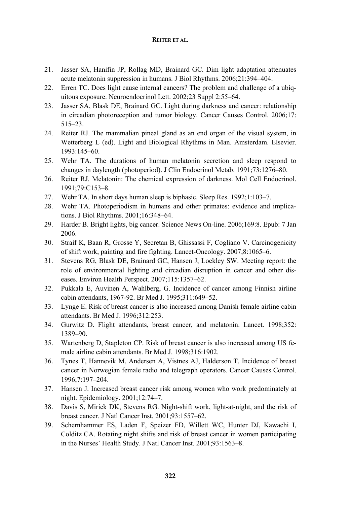- 21. Jasser SA, Hanifin JP, Rollag MD, Brainard GC. Dim light adaptation attenuates acute melatonin suppression in humans. J Biol Rhythms. 2006;21:394–404.
- 22. Erren TC. Does light cause internal cancers? The problem and challenge of a ubiquitous exposure. Neuroendocrinol Lett. 2002;23 Suppl 2:55–64.
- 23. Jasser SA, Blask DE, Brainard GC. Light during darkness and cancer: relationship in circadian photoreception and tumor biology. Cancer Causes Control. 2006;17: 515–23.
- 24. Reiter RJ. The mammalian pineal gland as an end organ of the visual system, in Wetterberg L (ed). Light and Biological Rhythms in Man. Amsterdam. Elsevier. 1993:145–60.
- 25. Wehr TA. The durations of human melatonin secretion and sleep respond to changes in daylength (photoperiod). J Clin Endocrinol Metab. 1991;73:1276–80.
- 26. Reiter RJ. Melatonin: The chemical expression of darkness. Mol Cell Endocrinol. 1991;79:C153–8.
- 27. Wehr TA. In short days human sleep is biphasic. Sleep Res. 1992;1:103–7.
- 28. Wehr TA. Photoperiodism in humans and other primates: evidence and implications. J Biol Rhythms. 2001;16:348–64.
- 29. Harder B. Bright lights, big cancer. Science News On-line. 2006;169:8. Epub: 7 Jan 2006.
- 30. Straif K, Baan R, Grosse Y, Secretan B, Ghissassi F, Cogliano V. Carcinogenicity of shift work, painting and fire fighting. Lancet-Oncology. 2007;8:1065–6.
- 31. Stevens RG, Blask DE, Brainard GC, Hansen J, Lockley SW. Meeting report: the role of environmental lighting and circadian disruption in cancer and other diseases. Environ Health Perspect. 2007;115:1357–62.
- 32. Pukkala E, Auvinen A, Wahlberg, G. Incidence of cancer among Finnish airline cabin attendants, 1967-92. Br Med J. 1995;311:649–52.
- 33. Lynge E. Risk of breast cancer is also increased among Danish female airline cabin attendants. Br Med J. 1996;312:253.
- 34. Gurwitz D. Flight attendants, breast cancer, and melatonin. Lancet. 1998;352: 1389–90.
- 35. Wartenberg D, Stapleton CP. Risk of breast cancer is also increased among US female airline cabin attendants. Br Med J. 1998;316:1902.
- 36. Tynes T, Hannevik M, Andersen A, Vistnes AJ, Halderson T. Incidence of breast cancer in Norwegian female radio and telegraph operators. Cancer Causes Control. 1996;7:197–204.
- 37. Hansen J. Increased breast cancer risk among women who work predominately at night. Epidemiology. 2001;12:74–7.
- 38. Davis S, Mirick DK, Stevens RG. Night-shift work, light-at-night, and the risk of breast cancer. J Natl Cancer Inst. 2001;93:1557–62.
- 39. Schernhammer ES, Laden F, Speizer FD, Willett WC, Hunter DJ, Kawachi I, Colditz CA. Rotating night shifts and risk of breast cancer in women participating in the Nurses' Health Study. J Natl Cancer Inst. 2001;93:1563–8.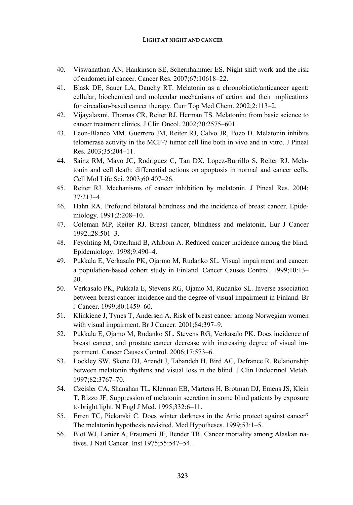## **LIGHT AT NIGHT AND CANCER**

- 40. Viswanathan AN, Hankinson SE, Schernhammer ES. Night shift work and the risk of endometrial cancer. Cancer Res. 2007;67:10618–22.
- 41. Blask DE, Sauer LA, Dauchy RT. Melatonin as a chronobiotic/anticancer agent: cellular, biochemical and molecular mechanisms of action and their implications for circadian-based cancer therapy. Curr Top Med Chem. 2002;2:113–2.
- 42. Vijayalaxmi, Thomas CR, Reiter RJ, Herman TS. Melatonin: from basic science to cancer treatment clinics. J Clin Oncol. 2002;20:2575–601.
- 43. Leon-Blanco MM, Guerrero JM, Reiter RJ, Calvo JR, Pozo D. Melatonin inhibits telomerase activity in the MCF-7 tumor cell line both in vivo and in vitro. J Pineal Res. 2003;35:204–11.
- 44. Sainz RM, Mayo JC, Rodriguez C, Tan DX, Lopez-Burrillo S, Reiter RJ. Melatonin and cell death: differential actions on apoptosis in normal and cancer cells. Cell Mol Life Sci. 2003;60:407–26.
- 45. Reiter RJ. Mechanisms of cancer inhibition by melatonin. J Pineal Res. 2004; 37:213–4.
- 46. Hahn RA. Profound bilateral blindness and the incidence of breast cancer. Epidemiology. 1991;2:208–10.
- 47. Coleman MP, Reiter RJ. Breast cancer, blindness and melatonin. Eur J Cancer 1992.;28:501–3.
- 48. Feychting M, Osterlund B, Ahlbom A. Reduced cancer incidence among the blind. Epidemiology. 1998;9:490–4.
- 49. Pukkala E, Verkasalo PK, Ojarmo M, Rudanko SL. Visual impairment and cancer: a population-based cohort study in Finland. Cancer Causes Control. 1999;10:13– 20.
- 50. Verkasalo PK, Pukkala E, Stevens RG, Ojamo M, Rudanko SL. Inverse association between breast cancer incidence and the degree of visual impairment in Finland. Br J Cancer. 1999;80:1459–60.
- 51. Klinkiene J, Tynes T, Andersen A. Risk of breast cancer among Norwegian women with visual impairment. Br J Cancer. 2001;84:397–9.
- 52. Pukkala E, Ojamo M, Rudanko SL, Stevens RG, Verkasalo PK. Does incidence of breast cancer, and prostate cancer decrease with increasing degree of visual impairment. Cancer Causes Control. 2006;17:573–6.
- 53. Lockley SW, Skene DJ, Arendt J, Tabandeh H, Bird AC, Defrance R. Relationship between melatonin rhythms and visual loss in the blind. J Clin Endocrinol Metab. 1997;82:3767–70.
- 54. Czeisler CA, Shanahan TL, Klerman EB, Martens H, Brotman DJ, Emens JS, Klein T, Rizzo JF. Suppression of melatonin secretion in some blind patients by exposure to bright light. N Engl J Med. 1995;332:6–11.
- 55. Erren TC, Piekarski C. Does winter darkness in the Artic protect against cancer? The melatonin hypothesis revisited. Med Hypotheses. 1999;53:1–5.
- 56. Blot WJ, Lanier A, Fraumeni JF, Bender TR. Cancer mortality among Alaskan natives. J Natl Cancer. Inst 1975;55:547–54.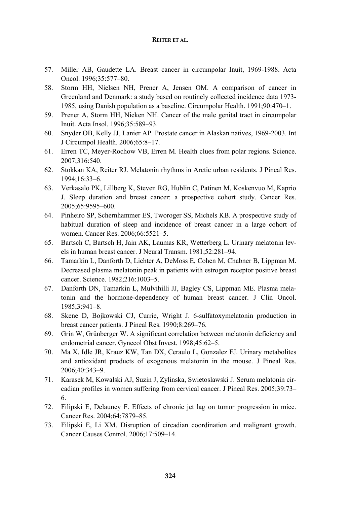- 57. Miller AB, Gaudette LA. Breast cancer in circumpolar Inuit, 1969-1988. Acta Oncol. 1996;35:577–80.
- 58. Storm HH, Nielsen NH, Prener A, Jensen OM. A comparison of cancer in Greenland and Denmark: a study based on routinely collected incidence data 1973- 1985, using Danish population as a baseline. Circumpolar Health. 1991;90:470–1.
- 59. Prener A, Storm HH, Nieken NH. Cancer of the male genital tract in circumpolar Inuit. Acta Insol. 1996;35:589–93.
- 60. Snyder OB, Kelly JJ, Lanier AP. Prostate cancer in Alaskan natives, 1969-2003. Int J Circumpol Health. 2006;65:8–17.
- 61. Erren TC, Meyer-Rochow VB, Erren M. Health clues from polar regions. Science. 2007;316:540.
- 62. Stokkan KA, Reiter RJ. Melatonin rhythms in Arctic urban residents. J Pineal Res. 1994;16:33–6.
- 63. Verkasalo PK, Lillberg K, Steven RG, Hublin C, Patinen M, Koskenvuo M, Kaprio J. Sleep duration and breast cancer: a prospective cohort study. Cancer Res. 2005;65:9595–600.
- 64. Pinheiro SP, Schernhammer ES, Tworoger SS, Michels KB. A prospective study of habitual duration of sleep and incidence of breast cancer in a large cohort of women. Cancer Res. 2006;66:5521–5.
- 65. Bartsch C, Bartsch H, Jain AK, Laumas KR, Wetterberg L. Urinary melatonin levels in human breast cancer. J Neural Transm. 1981;52:281–94.
- 66. Tamarkin L, Danforth D, Lichter A, DeMoss E, Cohen M, Chabner B, Lippman M. Decreased plasma melatonin peak in patients with estrogen receptor positive breast cancer. Science. 1982;216:1003–5.
- 67. Danforth DN, Tamarkin L, Mulvihilli JJ, Bagley CS, Lippman ME. Plasma melatonin and the hormone-dependency of human breast cancer. J Clin Oncol. 1985;3:941–8.
- 68. Skene D, Bojkowski CJ, Currie, Wright J. 6-sulfatoxymelatonin production in breast cancer patients. J Pineal Res. 1990;8:269–76.
- 69. Grin W, Grünberger W. A significant correlation between melatonin deficiency and endometrial cancer. Gynecol Obst Invest. 1998;45:62–5.
- 70. Ma X, Idle JR, Krauz KW, Tan DX, Ceraulo L, Gonzalez FJ. Urinary metabolites and antioxidant products of exogenous melatonin in the mouse. J Pineal Res. 2006;40:343–9.
- 71. Karasek M, Kowalski AJ, Suzin J, Zylinska, Swietoslawski J. Serum melatonin circadian profiles in women suffering from cervical cancer. J Pineal Res. 2005;39:73– 6.
- 72. Filipski E, Delauney F. Effects of chronic jet lag on tumor progression in mice. Cancer Res. 2004;64:7879–85.
- 73. Filipski E, Li XM. Disruption of circadian coordination and malignant growth. Cancer Causes Control. 2006;17:509–14.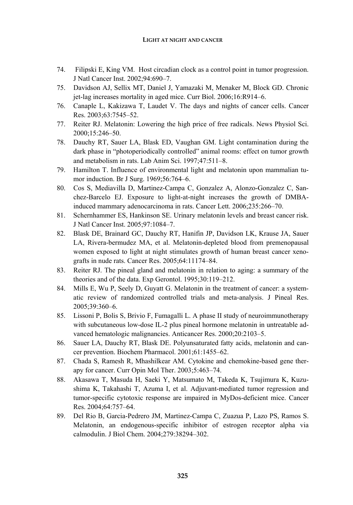## **LIGHT AT NIGHT AND CANCER**

- 74. Filipski E, King VM. Host circadian clock as a control point in tumor progression. J Natl Cancer Inst. 2002;94:690–7.
- 75. Davidson AJ, Sellix MT, Daniel J, Yamazaki M, Menaker M, Block GD. Chronic jet-lag increases mortality in aged mice. Curr Biol. 2006;16:R914–6.
- 76. Canaple L, Kakizawa T, Laudet V. The days and nights of cancer cells. Cancer Res. 2003;63:7545–52.
- 77. Reiter RJ. Melatonin: Lowering the high price of free radicals. News Physiol Sci. 2000;15:246–50.
- 78. Dauchy RT, Sauer LA, Blask ED, Vaughan GM. Light contamination during the dark phase in "photoperiodically controlled" animal rooms: effect on tumor growth and metabolism in rats. Lab Anim Sci. 1997;47:511–8.
- 79. Hamilton T. Influence of environmental light and melatonin upon mammalian tumor induction. Br J Surg. 1969;56:764–6.
- 80. Cos S, Mediavilla D, Martinez-Campa C, Gonzalez A, Alonzo-Gonzalez C, Sanchez-Barcelo EJ. Exposure to light-at-night increases the growth of DMBAinduced mammary adenocarcinoma in rats. Cancer Lett. 2006;235:266–70.
- 81. Schernhammer ES, Hankinson SE. Urinary melatonin levels and breast cancer risk. J Natl Cancer Inst. 2005;97:1084–7.
- 82. Blask DE, Brainard GC, Dauchy RT, Hanifin JP, Davidson LK, Krause JA, Sauer LA, Rivera-bermudez MA, et al. Melatonin-depleted blood from premenopausal women exposed to light at night stimulates growth of human breast cancer xenografts in nude rats. Cancer Res. 2005;64:11174–84.
- 83. Reiter RJ. The pineal gland and melatonin in relation to aging: a summary of the theories and of the data. Exp Gerontol. 1995;30:119–212.
- 84. Mills E, Wu P, Seely D, Guyatt G. Melatonin in the treatment of cancer: a systematic review of randomized controlled trials and meta-analysis. J Pineal Res. 2005;39:360–6.
- 85. Lissoni P, Bolis S, Brivio F, Fumagalli L. A phase II study of neuroimmunotherapy with subcutaneous low-dose IL-2 plus pineal hormone melatonin in untreatable advanced hematologic malignancies. Anticancer Res. 2000;20:2103–5.
- 86. Sauer LA, Dauchy RT, Blask DE. Polyunsaturated fatty acids, melatonin and cancer prevention. Biochem Pharmacol. 2001;61:1455–62.
- 87. Chada S, Ramesh R, Mhashilkear AM. Cytokine and chemokine-based gene therapy for cancer. Curr Opin Mol Ther. 2003;5:463–74.
- 88. Akasawa T, Masuda H, Saeki Y, Matsumato M, Takeda K, Tsujimura K, Kuzushima K, Takahashi T, Azuma I, et al. Adjuvant-mediated tumor regression and tumor-specific cytotoxic response are impaired in MyDos-deficient mice. Cancer Res. 2004;64:757–64.
- 89. Del Rio B, Garcia-Pedrero JM, Martinez-Campa C, Zuazua P, Lazo PS, Ramos S. Melatonin, an endogenous-specific inhibitor of estrogen receptor alpha via calmodulin. J Biol Chem. 2004;279:38294–302.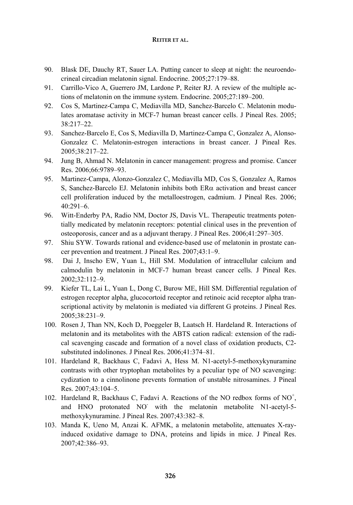- 90. Blask DE, Dauchy RT, Sauer LA. Putting cancer to sleep at night: the neuroendocrineal circadian melatonin signal. Endocrine. 2005;27:179–88.
- 91. Carrillo-Vico A, Guerrero JM, Lardone P, Reiter RJ. A review of the multiple actions of melatonin on the immune system. Endocrine. 2005;27:189–200.
- 92. Cos S, Martinez-Campa C, Mediavilla MD, Sanchez-Barcelo C. Melatonin modulates aromatase activity in MCF-7 human breast cancer cells. J Pineal Res. 2005; 38:217–22.
- 93. Sanchez-Barcelo E, Cos S, Mediavilla D, Martinez-Campa C, Gonzalez A, Alonso-Gonzalez C. Melatonin-estrogen interactions in breast cancer. J Pineal Res. 2005;38:217–22.
- 94. Jung B, Ahmad N. Melatonin in cancer management: progress and promise. Cancer Res. 2006;66:9789–93.
- 95. Martinez-Campa, Alonzo-Gonzalez C, Mediavilla MD, Cos S, Gonzalez A, Ramos S, Sanchez-Barcelo EJ. Melatonin inhibits both  $ER\alpha$  activation and breast cancer cell proliferation induced by the metalloestrogen, cadmium. J Pineal Res. 2006; 40:291–6.
- 96. Witt-Enderby PA, Radio NM, Doctor JS, Davis VL. Therapeutic treatments potentially medicated by melatonin receptors: potential clinical uses in the prevention of osteoporosis, cancer and as a adjuvant therapy. J Pineal Res. 2006;41:297–305.
- 97. Shiu SYW. Towards rational and evidence-based use of melatonin in prostate cancer prevention and treatment. J Pineal Res. 2007;43:1–9.
- 98. Dai J, Inscho EW, Yuan L, Hill SM. Modulation of intracellular calcium and calmodulin by melatonin in MCF-7 human breast cancer cells. J Pineal Res. 2002;32:112–9.
- 99. Kiefer TL, Lai L, Yuan L, Dong C, Burow ME, Hill SM. Differential regulation of estrogen receptor alpha, glucocortoid receptor and retinoic acid receptor alpha transcriptional activity by melatonin is mediated via different G proteins. J Pineal Res. 2005;38:231–9.
- 100. Rosen J, Than NN, Koch D, Poeggeler B, Laatsch H. Hardeland R. Interactions of melatonin and its metabolites with the ABTS cation radical: extension of the radical scavenging cascade and formation of a novel class of oxidation products, C2 substituted indolinones. J Pineal Res. 2006;41:374–81.
- 101. Hardeland R, Backhaus C, Fadavi A, Hess M. N1-acetyl-5-methoxykynuramine contrasts with other tryptophan metabolites by a peculiar type of NO scavenging: cydization to a cinnolinone prevents formation of unstable nitrosamines. J Pineal Res. 2007;43:104–5.
- 102. Hardeland R, Backhaus C, Fadavi A. Reactions of the NO redbox forms of NO<sup>+</sup>, and HNO protonated NO with the melatonin metabolite N1-acetyl-5methoxykynuramine. J Pineal Res. 2007;43:382–8.
- 103. Manda K, Ueno M, Anzai K. AFMK, a melatonin metabolite, attenuates X-rayinduced oxidative damage to DNA, proteins and lipids in mice. J Pineal Res. 2007;42:386–93.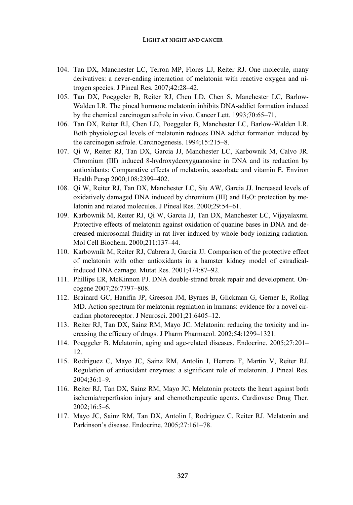## **LIGHT AT NIGHT AND CANCER**

- 104. Tan DX, Manchester LC, Terron MP, Flores LJ, Reiter RJ. One molecule, many derivatives: a never-ending interaction of melatonin with reactive oxygen and nitrogen species. J Pineal Res. 2007;42:28–42.
- 105. Tan DX, Poeggeler B, Reiter RJ, Chen LD, Chen S, Manchester LC, Barlow-Walden LR. The pineal hormone melatonin inhibits DNA-addict formation induced by the chemical carcinogen safrole in vivo. Cancer Lett. 1993;70:65–71.
- 106. Tan DX, Reiter RJ, Chen LD, Poeggeler B, Manchester LC, Barlow-Walden LR. Both physiological levels of melatonin reduces DNA addict formation induced by the carcinogen safrole. Carcinogenesis. 1994;15:215–8.
- 107. Qi W, Reiter RJ, Tan DX, Garcia JJ, Manchester LC, Karbownik M, Calvo JR. Chromium (III) induced 8-hydroxydeoxyguanosine in DNA and its reduction by antioxidants: Comparative effects of melatonin, ascorbate and vitamin E. Environ Health Persp 2000;108:2399–402.
- 108. Qi W, Reiter RJ, Tan DX, Manchester LC, Siu AW, Garcia JJ. Increased levels of oxidatively damaged DNA induced by chromium  $(III)$  and  $H_2O$ : protection by melatonin and related molecules. J Pineal Res. 2000;29:54–61.
- 109. Karbownik M, Reiter RJ, Qi W, Garcia JJ, Tan DX, Manchester LC, Vijayalaxmi. Protective effects of melatonin against oxidation of quanine bases in DNA and decreased microsomal fluidity in rat liver induced by whole body ionizing radiation. Mol Cell Biochem. 2000;211:137–44.
- 110. Karbownik M, Reiter RJ, Cabrera J, Garcia JJ. Comparison of the protective effect of melatonin with other antioxidants in a hamster kidney model of estradicalinduced DNA damage. Mutat Res. 2001;474:87–92.
- 111. Phillips ER, McKinnon PJ. DNA double-strand break repair and development. Oncogene 2007;26:7797–808.
- 112. Brainard GC, Hanifin JP, Greeson JM, Byrnes B, Glickman G, Gerner E, Rollag MD. Action spectrum for melatonin regulation in humans: evidence for a novel circadian photoreceptor. J Neurosci. 2001;21:6405–12.
- 113. Reiter RJ, Tan DX, Sainz RM, Mayo JC. Melatonin: reducing the toxicity and increasing the efficacy of drugs. J Pharm Pharmacol. 2002;54:1299–1321.
- 114. Poeggeler B. Melatonin, aging and age-related diseases. Endocrine. 2005;27:201– 12.
- 115. Rodriguez C, Mayo JC, Sainz RM, Antolin I, Herrera F, Martin V, Reiter RJ. Regulation of antioxidant enzymes: a significant role of melatonin. J Pineal Res. 2004;36:1–9.
- 116. Reiter RJ, Tan DX, Sainz RM, Mayo JC. Melatonin protects the heart against both ischemia/reperfusion injury and chemotherapeutic agents. Cardiovasc Drug Ther. 2002;16:5–6.
- 117. Mayo JC, Sainz RM, Tan DX, Antolin I, Rodriguez C. Reiter RJ. Melatonin and Parkinson's disease. Endocrine. 2005;27:161–78.